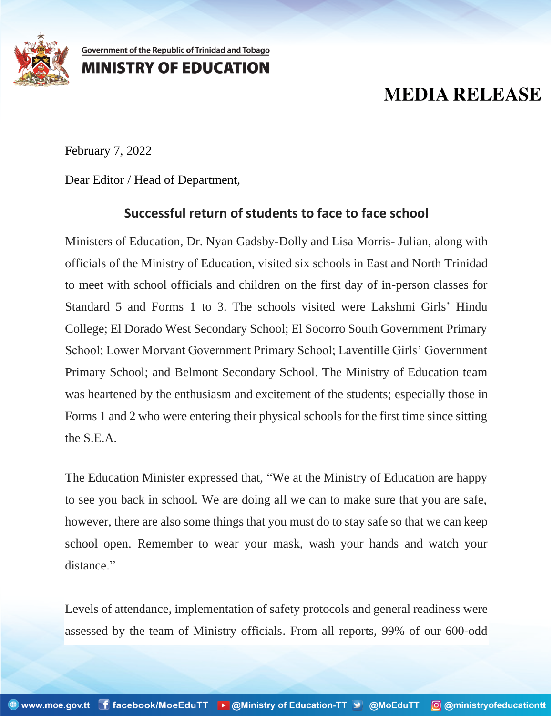

Government of the Republic of Trinidad and Tobago **MINISTRY OF EDUCATION** 

## **MEDIA RELEASE**

February 7, 2022

Dear Editor / Head of Department,

## **Successful return of students to face to face school**

Ministers of Education, Dr. Nyan Gadsby-Dolly and Lisa Morris- Julian, along with officials of the Ministry of Education, visited six schools in East and North Trinidad to meet with school officials and children on the first day of in-person classes for Standard 5 and Forms 1 to 3. The schools visited were Lakshmi Girls' Hindu College; El Dorado West Secondary School; El Socorro South Government Primary School; Lower Morvant Government Primary School; Laventille Girls' Government Primary School; and Belmont Secondary School. The Ministry of Education team was heartened by the enthusiasm and excitement of the students; especially those in Forms 1 and 2 who were entering their physical schools for the first time since sitting the S.E.A.

The Education Minister expressed that, "We at the Ministry of Education are happy to see you back in school. We are doing all we can to make sure that you are safe, however, there are also some things that you must do to stay safe so that we can keep school open. Remember to wear your mask, wash your hands and watch your distance."

Levels of attendance, implementation of safety protocols and general readiness were assessed by the team of Ministry officials. From all reports, 99% of our 600-odd